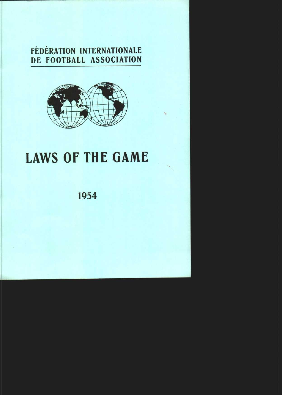## FÉDÉRATION INTERNATIONALE DE FOOTBALL ASSOCIATION



# LAWS OF THE GAME

1954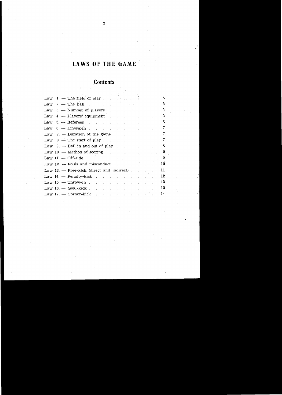## LAWS OF THE GAME

### **Contents**

|  | Law $1.$ - The field of play $\ldots$ $\ldots$ $\ldots$ |  |  |                |  |                            | 3  |
|--|---------------------------------------------------------|--|--|----------------|--|----------------------------|----|
|  |                                                         |  |  |                |  |                            | 5  |
|  | Law $3.$ - Number of players $\ldots$ .                 |  |  |                |  | $\mathcal{L}^{\text{max}}$ | 5  |
|  | Law $4.$ - Players' equipment                           |  |  |                |  |                            | 5  |
|  | Law $5. -$ Referees                                     |  |  |                |  |                            | 6  |
|  | Law $6.$ - Linesmen                                     |  |  |                |  |                            | 7  |
|  | Law $7.$ — Duration of the game $\cdot \cdot \cdot$     |  |  |                |  |                            | 7  |
|  | Law $8.$ - The start of play                            |  |  |                |  |                            | 7  |
|  | Law $9.$ - Ball in and out of play                      |  |  |                |  |                            | 8  |
|  | Law 10. — Method of scoring $\cdots$ $\cdots$ $\cdots$  |  |  |                |  |                            |    |
|  | Law 11. $\sim$ Off-side 9                               |  |  |                |  |                            |    |
|  | Law $12.$ - Fouls and misconduct                        |  |  |                |  |                            | 10 |
|  | Law 13. -- Free-kick (direct and indirect) $\ldots$     |  |  |                |  |                            | 11 |
|  | Law $14.$ - Penalty-kick $\ldots$ $\ldots$ $\ldots$     |  |  |                |  |                            | 12 |
|  | Law 15. $\frac{15}{10}$ Throw-in                        |  |  |                |  |                            | 13 |
|  | Law $16. -$ Goal-kick                                   |  |  |                |  |                            | 13 |
|  | Law $17.$ $-$ Corner-kick $.$                           |  |  | <b>Service</b> |  |                            | 14 |
|  |                                                         |  |  |                |  |                            |    |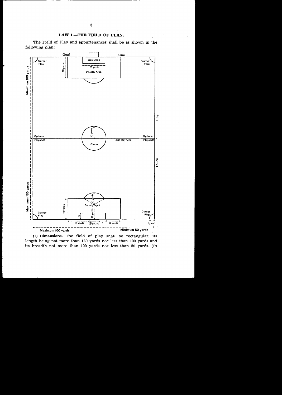

The Field of Play and appurtenances shall be as shown in the following plan:



(1) Dimensions. The field of play shall be rectangular, its length being not more than 130 yards nor less than 100 yards and its breadth not more than 100 yards nor less than 50 yards. (In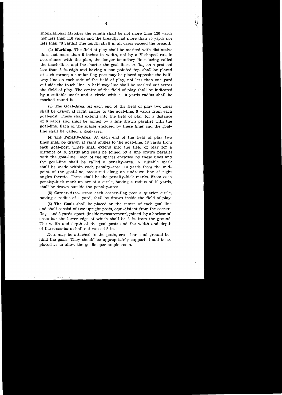International Matches the length shall be not more than 120 yards nor less than 110 yards and the breadth not more than 80 yards nor less than 70 yards.) The length shall in all cases exceed the breadth.

(2) Marking. The field of play shall be marked with distinctive lines not more than <sup>5</sup> inches in width, not by a V-shaped rut, in accordance with the plan, the longer boundary lines being called the touch-lines and the shorter the goal-lines . A flag on <sup>a</sup> post not less than 5 ft . high and having a non-pointed top, shall be placed at each corner ; a similar flag-post may be placed opposite the halfway line on each side of the field of play, not less than one yard out-side the touch-line . A half-way line shall be marked out across the field of play. The centre of the field of play shall be indicated by a suitable mark and a circle with a 10 yards radius shall be marked round it.

(3) The Goal-Area. At each end of the field of play two lines shall be drawn at right angles to the goal-line, 6 yards from each goal-post. These shall extend into the field of play for a distance of 6 yards and shall be joined by a line drawn parallel with the goal-line. Each of the spaces enclosed by these lines and the goalline shall be called a goal-area.

(4) The Penalty-Area . At each end of the field of play two lines shall be drawn at right angles to the goal-line, 18 yards from each goal-post. These shall extend into the field of play for a distance of 18 yards and shall be joined by a line drawn parallel with the goal-line. Each of the spaces enclosed by these lines and the goal-line shall be called <sup>a</sup> penalty-area. A suitable mark shall be made within each penalty-area, <sup>12</sup> yards from the midpoint of the goal-line, measured along an undrawn line at right angles thereto. These shall be the penalty-kick marks. From each penalty-kick mark an arc of a circle, having a radius of 10 yards, shall be drawn outside the penalty-area

(5) Corner-Area. From each corner-flag post a quarter circle, having a radius of <sup>1</sup> yard, shall be drawn inside the field of play.

(6) The Goals shall be placed on the centre of each goal-line and shall consist of two upright posts, equi-distant from the cornerflags and 8 yards apart (inside measurement), joined by a horizontal cross-bar the lower edge of which shall be <sup>8</sup> ft . from the ground. The width and depth of the goal-posts and the width and depth of the cross-bars shall not exceed <sup>5</sup> in.

Nets may be attached to the posts, cross-bars and ground behind the goals. They should be appropriately supported and be so placed as to allow the goalkeeper ample room.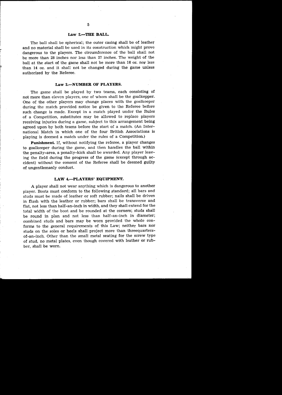#### Law 2.-THE BALL.

The ball shall be spherical; the outer casing shall be of leather and no material shall be used in its construction which might prove dangerous to the players. The circumference of the ball shall not be more than <sup>28</sup> inches nor less than <sup>27</sup> inches. The weight of the ball at the start of the game shall not be more than <sup>16</sup> oz. nor less than 14 oz. and it shall not be changed during the game unless authorized by the Referee.

#### Law 3.-NUMBER OF PLAYERS.

The game shall be played by two teams, each consisting of not more than eleven players, one of whom shall be the goalkepper. One of the other players may change places with the goalkeeper during the match provided notice be given to the Referee before such change is made. Except in a match played under the Rules of a Competition, substitutes may be allowed to replace players receiving injuries during a game, subject to this arrangement being agreed upon by both teams before the start of a match. (An International Match in which one of the four British Associations is playing is deemed a match under the rules of a Competition.)

Punishment. If, without notifying the referee, a player changes to goalkeeper during the game, and then handles the ball within the penalty-area, a penalty-kick shall be awarded. Any player leav ing the field during the progress of the game (except through accident) without the consent of the Referee shall be deemed guilty of ungentlemanly conduct.

#### LAW 4.-PLAYERS' EQUIPMENT.

A player shall not wear anything which is dangerous to another player. Boots must conform to the following standard; all bars and studs must be made of leather or soft rubber; nails shall be driven in flush with the leather or rubber; bars shall be transverse and flat, not less than half-an-inch in width, and they shall extend for the total width of the boot and be rounded at the corners; studs shall be round in plan and not less than half-an-inch in diameter; combined studs and bars may be worn provided the whole conforms to the general requirements of this Law; neither bars nor studs on the soles or heels shall project more than threequartersof-an-inch . Other than the small metal seating for the screw type of stud, no metal plates, even though covered with leather or rubber, shall be worn.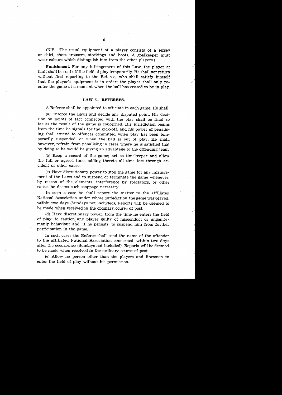(N.B.-The usual equipment of a player consists of a jersey or shirt, short trousers, stockings and boots. A goalkeeper must wear colours which distinguish him from the other players.)

Punishment. For any infringement of this Law, the player at fault shall be sent off the field of play temporarily. He shall not return without first reporting to the Referee, who shall satisfy himself that the player's equipment is in order; the player shall only reenter the game at <sup>a</sup> moment when the ball has ceased to be in play.

#### LAW 5.-REFEREES.

A Referee shall be appointed to officiate in each game. He shall:

(a) Enforce the Laws and decide any disputed point. His decision on points of fact connected with the play shall be final so far as the result of the game is concerned. His jurisdiction begins from the time he signals for the kick-off, and his power of penalising shall extend to offences committed when play has been temporarily suspended, or when the ball is out of play. He shall, however, refrain from penalising in cases where he is satisfied that by doing so he would be giving an advantage to the offending team.

(b) Keep a record of the game; act as timekeeper and allow the full or agreed time, adding thereto all time lost through accident or other cause.

(c) Have discretionary power to stop the game for any infringement of the Laws and to suspend or terminate the game whenever, by reason of the elements, interference by spectators, or other cause, he deems such stoppage necessary .

In such a case he shall report the matter to the affiliated National Association under whose jurisdiction the game was played, within two days (Sundays not included) . Reports will be deemed to be made when received in the ordinary course of post.

(d) Have discretionary power, from the time he enters the field of play, to caution any player guilty of misconduct or ungentlemanly behaviour and, if he persists, to suspend him from further participation in the game.

In such cases the Referee shall send the name of the offender to the affiliated National Association concerned, within two days after the occurrence (Sundays not included). Reports will be deemed to be made when received in the ordinary course of post.

(e) Allow no person other than the players and linesmen to enter the field of play without his permission.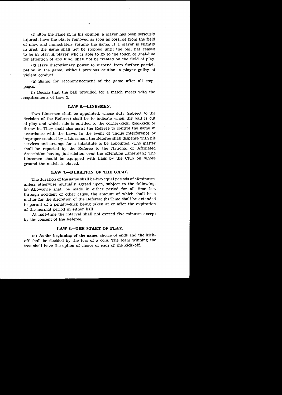(f) Stop the game if, in his opinion, a player has been seriously injured; have the player removed as soon as possible from the field of play, and immediately resume the game. If a player is slightly injured, the game shall not be stopped until the ball has ceased to be in play. A player who is able to go to the touch or goal-line for attention of any kind, shall not be treated on the field of play.

(g) Have discretionary power to suspend from further participation in the game, without previous caution, a player guilty of violent conduct.

(h) Signal for recommencement of the game after all stoppages.

(i) Decide that the ball provided for a match meets with the . requirements of Law 2.

#### LAW 6.-LINESMEN.

Two Linesmen shall be appointed, whose duty (subject to the decision of the Referee) shall be to indicate when the ball is out of play and which side is entitled to the corner-kick, goal-kick or throw-in. They shall also assist the Referee to control the game in accordance with the Laws. In the event of undue interference or improper conduct by a Linesman, the Referee shall dispense with his services and arrange for a substitute to be appointed. (The matter shall be reported by the Referee to the National or Affiliated Association having jurisdiction over the offending Linesman.) The Linesmen should be equipped with flags by the Club on whose ground the match is played.

#### LAW 7.--DURATION OF THE GAME.

The duration of the game shall be two equal periods of 45minutes, unless otherwise mutually agreed upon, subject to the following: (a) Allowance shall be made in either period for all time lost through accident or other cause, the amount of which shall be a matter for the discretion of the Referee; (b) Time shall be extended to permit of a penalty-kick being taken at or after the expiration of the normal period in either half.

At half-time the interval shall not exceed five minutes except by the consent of the Referee.

#### LAW 8.-THE START OF PLAY.

(a) At the beginning of the game, choice of ends and the kickoff shall be decided by the toss of <sup>a</sup> coin. The team winning the toss shall have the option of choice of ends or the kick-off.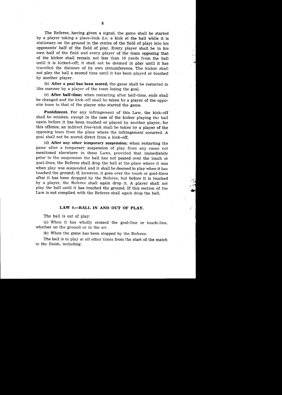The Referee, having given a signal, the game shall be started by a player taking a place-kick (i.e. a kick at the ball while it is stationary on the ground in the centre of the field of play) into his opponents' half of the field of play. Every player shall be in his own half of the field and every player of the team opposing that of the kicker shall remain not less than 10 yards from the ball until it is kicked-off; it shall not be deemed in play until it has travelled the distance of its own circumference . The kicker shall not play the ball a second time until it has been played or touched by another player.

(b) After a goal has been scored, the game shall be restarted in like manner by a player of the team losing the goal.

 $(c)$  **After half-time;** when restarting after half-time, ends shall be changed and the kick-off shall be taken by a player of the opposite team to that of the player who started the game.

Punishment. For any infringement of this Law, the kick-off shall be retaken, except in the case of the kicker playing the ball again before it has been touched or played by another player; for this offence, an indirect free-kick shall be taken by a player of the opposing team from the place where the infringement occurred . A goal shall not be scored direct from a kick-off.

(d) After any other temporary suspension; when restarting the game after <sup>a</sup> temporary suspension of play from any cause not mentioned elsewhere in these Laws, provided that immediately prior to the suspension the ball has not passed over the touch or goal-lines, the Referee shall drop the ball at the place where it was when play was suspended and it shall be deemed in play when it has touched the ground; if, however, it goes over the touch or goal-lines after it has been dropped by the Referee, but before it is touched by <sup>a</sup> player, the Referee shall again drop it . A player shall not play the ball until it has touched the ground. If this section of the Law is not complied with the Referee shall again drop the ball.

#### LAW 9.-BALL IN AND OUT OF PLAY.

The ball is out of play:

(a) When it has wholly crossed the goal-line or touch-line, whether on the ground or in the air.

(b) When the game has been stopped by the Referee.

The ball is in play at all other times from the start of the match to the finish, including: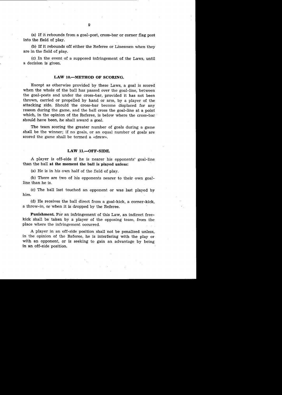(a) If it rebounds from a goal-post, cross-bar or corner flag post into the field of play.

(b) If it rebounds off either the Referee or Linesmen when they are in the field of play.

(c) .In the event of a supposed infringement of the Laws, until a decision is given.

#### LAW 10.-METHOD OF SCORING.

Except as otherwise provided by these Laws, a goal is scored when the whole of the ball has passed over the goal-line, between the goal-posts and under the cross-bar, provided it has not been thrown, carried or propelled by hand or arm, by a player of the attacking side. Should the cross-bar become displaced for any reason during the game, and the ball cross the goal-line at a point which, in the opinion of the Referee, is below where the cross-bar should have been, he shall award a goal.

The team scoring the greater number of goals during a game shall be the winner; if no goals, or an equal number of goals are scored the game shall be termed a «draw».

#### LAW 11.-OFF-SIDE.

A player is off-side if he is nearer his opponents' goal-line than the ball at the moment the ball is played unless:

(a) He is in his own half of the field of play.

(b) There are two of his opponents nearer to their own goalline than he is.

(c) The ball last touched an opponent or was last played by him.

(d) He receives the ball direct from a goal-kick, a corner-kick, a throw-in, or when it is dropped by the Referee.

Punishment. For an infringement of this Law, an indirect freekick shall be taken by a player of the opposing team, from the place where the infringement occurred.

A player in an off-side position shall not be penalised unless, in the opinion of the Referee, he is interfering with the play or with an opponent, or is seeking to gain an advantage by being in an off-side position.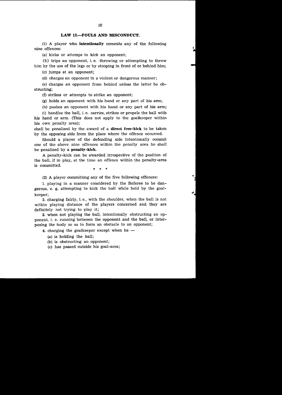#### LAW 12~FOULS AND MISCONDUCT.

(1) A player who intentionally commits any of the following nine offences :

(a) kicks or attemps to kick an opponent;

(b) trips an opponent, i.e. throwing or attempting to throw him by the use of the legs or by stooping in front of or behind him;

(c) jumps at an opponent;

(d) charges an opponent in a violent or dangerous manner;

(e) charges an opponent from behind unless the latter be obstructing;

(f) strikes or attempts to strike an opponent;

(g) holds an opponent with his hand or any part of his arm;

(h) pushes an opponent with his hand or any part of his arm;

(i) handles the ball, i.e. carries, strikes or propels the ball with his hand or arm. (This does not apply to the goalkeeper within his own penalty area);

shall be penalised by the award of a direct free-kick to be taken by the opposing side from the place where the offence occurred.

Should a player of the defending side intentionally commit one of the above nine offences within the penalty area he shall be penalised by a **penalty-kick**.

A penalty-kick can be awarded irrespective of the position of the ball, if in play, at the time an offence within the penalty-area is committed.

(2) A player committing any of the five following offences :

<sup>1</sup> . playing in a manner considered by the Referee to be dangerous, <sup>e</sup> . g. attempting to kick the ball while held by the goalkeeper;

2. charging fairly, i.e., with the shoulder, when the ball is not within playing distance of the players concerned and they are definitely not trying to play it;

3. when not playing the ball, intentionally obstructing an opponent, i. e. running between the opponent and the ball, or interposing the body so as to form an obstacle to an opponent;

4. charging the goalkeeper except when he  $-$ 

(a) is holding the ball;

(b) is obstructing an opponent;

(c) has passed outside his goal-area ;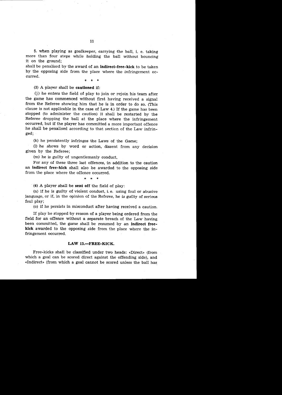5. when playing as goalkeeper, carrying the ball, i. e. taking more than four steps while holding the ball without bouncing it on the ground;

shall be penalised by the award of an indirect-free-kick to be taken by the opposing side from the place where the infringement occurred.

(3) A player shall be **cautioned** if:

(j) he enters the field of play to join or rejoin his team after the game has commenced without first having received a signal from the Referee showing him that he is in order to do so. (This clause is not applicable in the case of Law 4.) If the game has been stopped (to administer the caution) it shall be restarted by the Referee dropping the ball at the place where the infringement occurred, but if the player has committed a more important offence he shall be penalised according to that section of the Law infringed;

(k) he persistently infringes the Laws of the Game;

(1) he shows by word or action, dissent from any decision given by the Referee;

(m) he is guilty of ungentlemanly conduct.

For any of these three last offences, in addition to the caution an indirect free-kick shall also be awarded to the opposing side from the place where the offence occurred.

 $(4)$  A player shall be sent off the field of play:

(n) if he is guilty of violent conduct, i.e. using foul or abusive language, or if, in the opinion of the Referee, he is guilty of serious foul play;

(o) if he persists in misconduct after having received a caution.

If play be stopped by reason of a player being ordered from the field for an offence without <sup>a</sup> separate breach of the Law having been committed, the game shall be resumed by an indirect free kick awarded to the opposing side from the place where the infringement occurred.

#### LAW 13.-FREE-KICK.

Free-kicks shall be classified under two heads: «Direct» (from which a goal can be scored direct against the offending side), and «Indirect» (from which a goal cannot be scored unless the ball has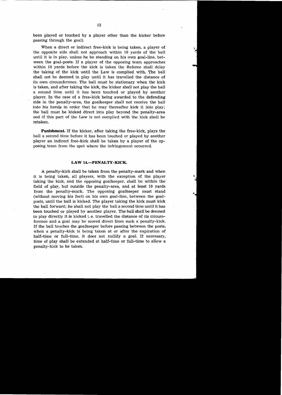been played or touched by a player other than the kicker before passing through the goal).

When a direct or indirect free-kick is being taken, <sup>a</sup> player of the opposite side shall not approach within 10 yards of the ball until it is in play, unless he be standing on his own goal-line, bet ween the goal-posts. If a player of the opposing team approaches within <sup>10</sup> yards before the kick is taken the Referee shall delay the taking of the kick until the Law is complied with. The ball shall not be deemed in play until it has travelled the distance of its own circumference. The ball must be stationary when the kick is taken, and after taking the kick, the kicker shall not play the ball a second time until it has been touched or played by another player. In the case of a free-kick being awarded to the defending side in the penalty-area, the goalkeeper shall not receive the ball into his hands in order that he may thereafter kick it into play ; the ball must be kicked direct into play beyond the penalty-area and if this part of the Law is not complied with the kick shall be retaken.

Punishment. If the kicker, after taking the free-kick, plays the ball a second time before it has been touched or played by another player an indirect free-kick shall be taken by a player of the opposing team from the spot where the infringement occurred.

#### LAW 14.-PENALTY-KICK.

A penalty-kick shall be taken from the penalty-mark and when it is being taken, all players, with the exception of the player taking the kick, and the opposing goalkeeper, shall be within the field of play, but outside the penalty-area, and at least 10 yards from the penalty-mark . The opposing goalkeeper must stand (without moving his feet) on his own goal-line, between the goalposts, until the ball is kicked. The player taking the kick must kick the ball forward; he shall not play the ball a second time until it has been touched or played by another player. The ball shall be deemed in play directly it is kicked <sup>i</sup> . e. travelled the distance of its circumference and a goal may be scored direct from such a penalty-kick. If the ball touches the goalkeeper before passing between the posts, when a penalty-kick is being taken at or after the expiration of half-time or full-time, it does not nullify a goal. If necessary, time of play shall be extended at half-time or full-time to allow a penalty-kick to be taken.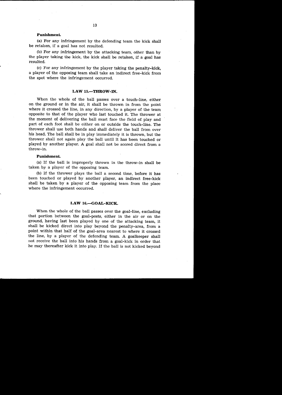#### Punishment.

(a) For any infringement by the defending team the kick shall be retaken, if a goal has not resulted.

(b) For any infringement by the attacking team, other than by the player taking the kick, the kick shall be retaken, if a goal has resulted.

(c) For any infringement by the player taking the penalty-kick, a player of the opposing team shall take an indirect free-kick from the spot where the infringement occurred.

#### LAW 15.-THROW-IN.

When the whole of the ball passes over <sup>a</sup> touch-line, either on the ground or in the air, it shall be thrown in from the point where it crossed the line, in any direction, by a player of the team opposite to that of the player who last touched it . The thrower at the moment of delivering the ball must face the field of play and part of each foot shall be either on or outside the touch-line. The thrower shall use both hands and shall deliver the ball from over his head. The ball shall be in play immediately it is thrown, but the thrower shall not again play the ball until it has been touched or played by another player. A goal shall not be scored direct from <sup>a</sup> throw-in.

#### Punishment.

(a) If the ball is improperly thrown in the throw-in shall be taken by a player of the opposing team.

(b) If the thrower plays the ball a second time, before it has been touched or played by another player, an indirect free-kick shall be taken by a player of the opposing team from the place where the infringement occurred.

#### LAW 16.-GOAL-KICK.

When. the whole of the ball passes over the goal-line, excluding that portion between the goal-posts, either in the air or on the ground, having last been played by one of the attacking team, it shall be kicked direct into play beyond the penalty-area, from <sup>a</sup> point within that half of the goal-area nearest to where it crossed the line, by <sup>a</sup> player of the defending team. A goalkeeper shall not receive the ball into his hands from a goal-kick in order that he may thereafter kick it into play. If the ball is not kicked beyond